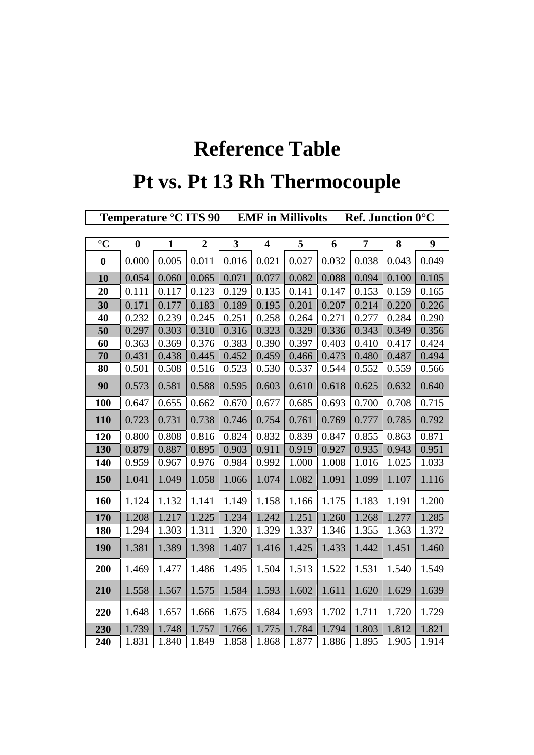## **Reference Table Pt vs. Pt 13 Rh Thermocouple**

|                  | Ref. Junction 0°C<br>Temperature °C ITS 90<br><b>EMF</b> in Millivolts |              |                  |                         |                         |       |       |                |       |       |
|------------------|------------------------------------------------------------------------|--------------|------------------|-------------------------|-------------------------|-------|-------|----------------|-------|-------|
|                  |                                                                        |              |                  |                         |                         |       |       |                |       |       |
| $\rm ^{\circ}C$  | $\bf{0}$                                                               | $\mathbf{1}$ | $\boldsymbol{2}$ | $\overline{\mathbf{3}}$ | $\overline{\mathbf{4}}$ | 5     | 6     | $\overline{7}$ | 8     | 9     |
| $\boldsymbol{0}$ | 0.000                                                                  | 0.005        | 0.011            | 0.016                   | 0.021                   | 0.027 | 0.032 | 0.038          | 0.043 | 0.049 |
| 10               | 0.054                                                                  | 0.060        | 0.065            | 0.071                   | 0.077                   | 0.082 | 0.088 | 0.094          | 0.100 | 0.105 |
| 20               | 0.111                                                                  | 0.117        | 0.123            | 0.129                   | 0.135                   | 0.141 | 0.147 | 0.153          | 0.159 | 0.165 |
| 30               | 0.171                                                                  | 0.177        | 0.183            | 0.189                   | 0.195                   | 0.201 | 0.207 | 0.214          | 0.220 | 0.226 |
| 40               | 0.232                                                                  | 0.239        | 0.245            | 0.251                   | 0.258                   | 0.264 | 0.271 | 0.277          | 0.284 | 0.290 |
| 50               | 0.297                                                                  | 0.303        | 0.310            | 0.316                   | 0.323                   | 0.329 | 0.336 | 0.343          | 0.349 | 0.356 |
| 60               | 0.363                                                                  | 0.369        | 0.376            | 0.383                   | 0.390                   | 0.397 | 0.403 | 0.410          | 0.417 | 0.424 |
| 70               | 0.431                                                                  | 0.438        | 0.445            | 0.452                   | 0.459                   | 0.466 | 0.473 | 0.480          | 0.487 | 0.494 |
| 80               | 0.501                                                                  | 0.508        | 0.516            | 0.523                   | 0.530                   | 0.537 | 0.544 | 0.552          | 0.559 | 0.566 |
| 90               | 0.573                                                                  | 0.581        | 0.588            | 0.595                   | 0.603                   | 0.610 | 0.618 | 0.625          | 0.632 | 0.640 |
| <b>100</b>       | 0.647                                                                  | 0.655        | 0.662            | 0.670                   | 0.677                   | 0.685 | 0.693 | 0.700          | 0.708 | 0.715 |
| 110              | 0.723                                                                  | 0.731        | 0.738            | 0.746                   | 0.754                   | 0.761 | 0.769 | 0.777          | 0.785 | 0.792 |
| 120              | 0.800                                                                  | 0.808        | 0.816            | 0.824                   | 0.832                   | 0.839 | 0.847 | 0.855          | 0.863 | 0.871 |
| 130              | 0.879                                                                  | 0.887        | 0.895            | 0.903                   | 0.911                   | 0.919 | 0.927 | 0.935          | 0.943 | 0.951 |
| 140              | 0.959                                                                  | 0.967        | 0.976            | 0.984                   | 0.992                   | 1.000 | 1.008 | 1.016          | 1.025 | 1.033 |
| 150              | 1.041                                                                  | 1.049        | 1.058            | 1.066                   | 1.074                   | 1.082 | 1.091 | 1.099          | 1.107 | 1.116 |
| 160              | 1.124                                                                  | 1.132        | 1.141            | 1.149                   | 1.158                   | 1.166 | 1.175 | 1.183          | 1.191 | 1.200 |
| 170              | 1.208                                                                  | 1.217        | 1.225            | 1.234                   | 1.242                   | 1.251 | 1.260 | 1.268          | 1.277 | 1.285 |
| 180              | 1.294                                                                  | 1.303        | 1.311            | 1.320                   | 1.329                   | 1.337 | 1.346 | 1.355          | 1.363 | 1.372 |
| 190              | 1.381                                                                  | 1.389        | 1.398            | 1.407                   | 1.416                   | 1.425 | 1.433 | 1.442          | 1.451 | 1.460 |
| 200              | 1.469                                                                  | 1.477        | 1.486            | 1.495                   | 1.504                   | 1.513 | 1.522 | 1.531          | 1.540 | 1.549 |
| 210              | 1.558                                                                  | 1.567        | 1.575            | 1.584                   | 1.593                   | 1.602 | 1.611 | 1.620          | 1.629 | 1.639 |
| 220              | 1.648                                                                  | 1.657        | 1.666            | 1.675                   | 1.684                   | 1.693 | 1.702 | 1.711          | 1.720 | 1.729 |
| 230              | 1.739                                                                  | 1.748        | 1.757            | 1.766                   | 1.775                   | 1.784 | 1.794 | 1.803          | 1.812 | 1.821 |
| 240              | 1.831                                                                  | 1.840        | 1.849            | 1.858                   | 1.868                   | 1.877 | 1.886 | 1.895          | 1.905 | 1.914 |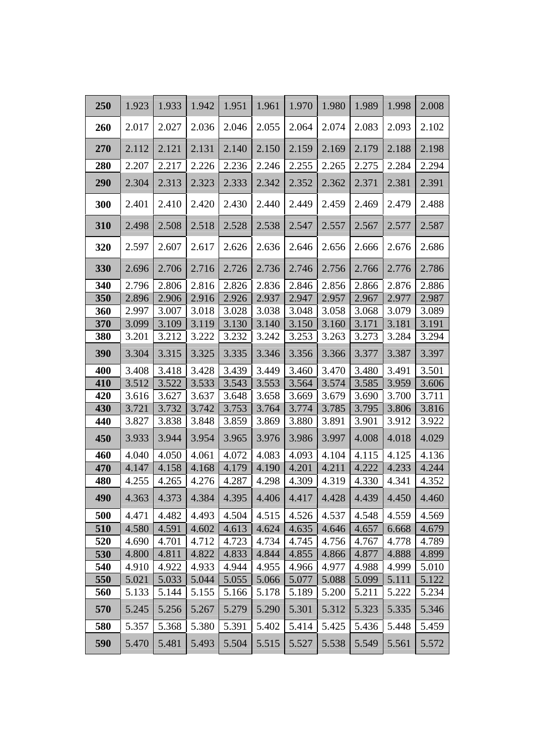| 250        | 1.923          | 1.933          | 1.942          | 1.951          | 1.961          | 1.970          | 1.980          | 1.989          | 1.998          | 2.008          |
|------------|----------------|----------------|----------------|----------------|----------------|----------------|----------------|----------------|----------------|----------------|
| 260        | 2.017          | 2.027          | 2.036          | 2.046          | 2.055          | 2.064          | 2.074          | 2.083          | 2.093          | 2.102          |
| 270        | 2.112          | 2.121          | 2.131          | 2.140          | 2.150          | 2.159          | 2.169          | 2.179          | 2.188          | 2.198          |
| 280        | 2.207          | 2.217          | 2.226          | 2.236          | 2.246          | 2.255          | 2.265          | 2.275          | 2.284          | 2.294          |
| 290        | 2.304          | 2.313          | 2.323          | 2.333          | 2.342          | 2.352          | 2.362          | 2.371          | 2.381          | 2.391          |
| 300        | 2.401          | 2.410          | 2.420          | 2.430          | 2.440          | 2.449          | 2.459          | 2.469          | 2.479          | 2.488          |
| 310        | 2.498          | 2.508          | 2.518          | 2.528          | 2.538          | 2.547          | 2.557          | 2.567          | 2.577          | 2.587          |
| 320        | 2.597          | 2.607          | 2.617          | 2.626          | 2.636          | 2.646          | 2.656          | 2.666          | 2.676          | 2.686          |
| 330        | 2.696          | 2.706          | 2.716          | 2.726          | 2.736          | 2.746          | 2.756          | 2.766          | 2.776          | 2.786          |
| 340        | 2.796          | 2.806          | 2.816          | 2.826          | 2.836          | 2.846          | 2.856          | 2.866          | 2.876          | 2.886          |
| 350        | 2.896          | 2.906          | 2.916          | 2.926          | 2.937          | 2.947          | 2.957          | 2.967          | 2.977          | 2.987          |
| 360        | 2.997          | 3.007          | 3.018          | 3.028          | 3.038          | 3.048          | 3.058          | 3.068          | 3.079          | 3.089          |
| 370        | 3.099          | 3.109          | 3.119          | 3.130          | 3.140          | 3.150          | 3.160          | 3.171          | 3.181          | 3.191          |
| 380        | 3.201          | 3.212          | 3.222          | 3.232          | 3.242          | 3.253          | 3.263          | 3.273          | 3.284          | 3.294          |
| 390        | 3.304          | 3.315          | 3.325          | 3.335          | 3.346          | 3.356          | 3.366          | 3.377          | 3.387          | 3.397          |
| 400        | 3.408          | 3.418          | 3.428          | 3.439          | 3.449          | 3.460          | 3.470          | 3.480          | 3.491          | 3.501          |
| 410        | 3.512          | 3.522          | 3.533          | 3.543          | 3.553          | 3.564          | 3.574          | 3.585          | 3.959          | 3.606          |
| 420        | 3.616          | 3.627          | 3.637          | 3.648          | 3.658          | 3.669          | 3.679          | 3.690          | 3.700          | 3.711          |
| 430        | 3.721          | 3.732          | 3.742          | 3.753          | 3.764          | 3.774          | 3.785          | 3.795          | 3.806          | 3.816          |
| 440        | 3.827          | 3.838          | 3.848          | 3.859          | 3.869          | 3.880          | 3.891          | 3.901          | 3.912          | 3.922          |
| 450        | 3.933          | 3.944          | 3.954          | 3.965          | 3.976          | 3.986          | 3.997          | 4.008          | 4.018          | 4.029          |
| 460        | 4.040          | 4.050          | 4.061          | 4.072          | 4.083          | 4.093          | 4.104          | 4.115          | 4.125          | 4.136          |
| 470        | 4.147          | 4.158          | 4.168          | 4.179          | 4.190          | 4.201          | 4.211          | 4.222          | 4.233          | 4.244          |
| 480        | 4.255          | 4.265          | 4.276          | 4.287          | 4.298          | 4.309          | 4.319          | 4.330          | 4.341          | 4.352          |
| 490        | 4.363          | 4.373          |                | 4.384 4.395    | 4.406          |                | $4.417$ 4.428  | 4.439          | 4.450          | 4.460          |
| 500        | 4.471          | 4.482          | 4.493          | 4.504          | 4.515          | 4.526          | 4.537          | 4.548          | 4.559          | 4.569          |
| 510        | 4.580          | 4.591          | 4.602          | 4.613          | 4.624          | 4.635          | 4.646          | 4.657          | 6.668          | 4.679          |
| 520        | 4.690          | 4.701          | 4.712          | 4.723          | 4.734          | 4.745          | 4.756          | 4.767          | 4.778          | 4.789          |
| 530        | 4.800          | 4.811          | 4.822          | 4.833          | 4.844          | 4.855          | 4.866          | 4.877          | 4.888          | 4.899          |
| 540        | 4.910          | 4.922          | 4.933          | 4.944          | 4.955          | 4.966          | 4.977          | 4.988          | 4.999          | 5.010          |
| 550        | 5.021          | 5.033          | 5.044          | 5.055          | 5.066          | 5.077          | 5.088          | 5.099          | 5.111          | 5.122          |
| 560<br>570 | 5.133<br>5.245 | 5.144<br>5.256 | 5.155<br>5.267 | 5.166<br>5.279 | 5.178<br>5.290 | 5.189<br>5.301 | 5.200<br>5.312 | 5.211<br>5.323 | 5.222<br>5.335 | 5.234<br>5.346 |
|            |                |                |                |                |                |                |                |                |                |                |
| 580        | 5.357          | 5.368          | 5.380          | 5.391          | 5.402          | 5.414          | 5.425          | 5.436          | 5.448          | 5.459          |
| 590        | 5.470          | 5.481          | 5.493          | 5.504          | 5.515          | 5.527          | 5.538          | 5.549          | 5.561          | 5.572          |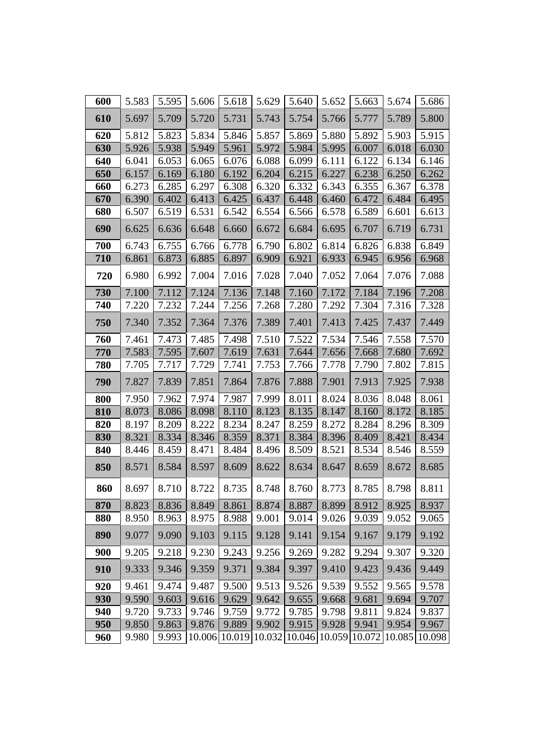| 600 | 5.583 | 5.595 | 5.606 | 5.618                | 5.629 | 5.640 | 5.652                | 5.663 | 5.674  | 5.686  |
|-----|-------|-------|-------|----------------------|-------|-------|----------------------|-------|--------|--------|
| 610 | 5.697 | 5.709 | 5.720 | 5.731                | 5.743 | 5.754 | 5.766                | 5.777 | 5.789  | 5.800  |
| 620 | 5.812 | 5.823 | 5.834 | 5.846                | 5.857 | 5.869 | 5.880                | 5.892 | 5.903  | 5.915  |
| 630 | 5.926 | 5.938 | 5.949 | 5.961                | 5.972 | 5.984 | 5.995                | 6.007 | 6.018  | 6.030  |
| 640 | 6.041 | 6.053 | 6.065 | 6.076                | 6.088 | 6.099 | 6.111                | 6.122 | 6.134  | 6.146  |
| 650 | 6.157 | 6.169 | 6.180 | 6.192                | 6.204 | 6.215 | 6.227                | 6.238 | 6.250  | 6.262  |
| 660 | 6.273 | 6.285 | 6.297 | 6.308                | 6.320 | 6.332 | 6.343                | 6.355 | 6.367  | 6.378  |
| 670 | 6.390 | 6.402 | 6.413 | 6.425                | 6.437 | 6.448 | 6.460                | 6.472 | 6.484  | 6.495  |
| 680 | 6.507 | 6.519 | 6.531 | 6.542                | 6.554 | 6.566 | 6.578                | 6.589 | 6.601  | 6.613  |
| 690 | 6.625 | 6.636 | 6.648 | 6.660                | 6.672 | 6.684 | 6.695                | 6.707 | 6.719  | 6.731  |
| 700 | 6.743 | 6.755 | 6.766 | 6.778                | 6.790 | 6.802 | 6.814                | 6.826 | 6.838  | 6.849  |
| 710 | 6.861 | 6.873 | 6.885 | 6.897                | 6.909 | 6.921 | 6.933                | 6.945 | 6.956  | 6.968  |
| 720 | 6.980 | 6.992 | 7.004 | 7.016                | 7.028 | 7.040 | 7.052                | 7.064 | 7.076  | 7.088  |
| 730 | 7.100 | 7.112 | 7.124 | 7.136                | 7.148 | 7.160 | 7.172                | 7.184 | 7.196  | 7.208  |
| 740 | 7.220 | 7.232 | 7.244 | 7.256                | 7.268 | 7.280 | 7.292                | 7.304 | 7.316  | 7.328  |
| 750 | 7.340 | 7.352 | 7.364 | 7.376                | 7.389 | 7.401 | 7.413                | 7.425 | 7.437  | 7.449  |
| 760 | 7.461 | 7.473 | 7.485 | 7.498                | 7.510 | 7.522 | 7.534                | 7.546 | 7.558  | 7.570  |
| 770 | 7.583 | 7.595 | 7.607 | 7.619                | 7.631 | 7.644 | 7.656                | 7.668 | 7.680  | 7.692  |
| 780 | 7.705 | 7.717 | 7.729 | 7.741                | 7.753 | 7.766 | 7.778                | 7.790 | 7.802  | 7.815  |
| 790 | 7.827 | 7.839 | 7.851 | 7.864                | 7.876 | 7.888 | 7.901                | 7.913 | 7.925  | 7.938  |
| 800 | 7.950 | 7.962 | 7.974 | 7.987                | 7.999 | 8.011 | 8.024                | 8.036 | 8.048  | 8.061  |
| 810 | 8.073 | 8.086 | 8.098 | 8.110                | 8.123 | 8.135 | 8.147                | 8.160 | 8.172  | 8.185  |
| 820 | 8.197 | 8.209 | 8.222 | 8.234                | 8.247 | 8.259 | 8.272                | 8.284 | 8.296  | 8.309  |
| 830 | 8.321 | 8.334 | 8.346 | 8.359                | 8.371 | 8.384 | 8.396                | 8.409 | 8.421  | 8.434  |
| 840 | 8.446 | 8.459 | 8.471 | 8.484                | 8.496 | 8.509 | 8.521                | 8.534 | 8.546  | 8.559  |
| 850 | 8.571 | 8.584 | 8.597 | 8.609                | 8.622 | 8.634 | 8.647                | 8.659 | 8.672  | 8.685  |
| 860 | 8.697 | 8.710 | 8.722 | 8.735                | 8.748 | 8.760 | 8.773                | 8.785 | 8.798  | 8.811  |
| 870 | 8.823 | 8.836 | 8.849 | 8.861                | 8.874 | 8.887 | 8.899                | 8.912 | 8.925  | 8.937  |
| 880 | 8.950 | 8.963 | 8.975 | 8.988                | 9.001 | 9.014 | 9.026                | 9.039 | 9.052  | 9.065  |
| 890 | 9.077 | 9.090 | 9.103 | 9.115                | 9.128 | 9.141 | 9.154                | 9.167 | 9.179  | 9.192  |
| 900 | 9.205 | 9.218 | 9.230 | 9.243                | 9.256 | 9.269 | 9.282                | 9.294 | 9.307  | 9.320  |
| 910 | 9.333 | 9.346 | 9.359 | 9.371                | 9.384 | 9.397 | 9.410                | 9.423 | 9.436  | 9.449  |
| 920 | 9.461 | 9.474 | 9.487 | 9.500                | 9.513 | 9.526 | 9.539                | 9.552 | 9.565  | 9.578  |
| 930 | 9.590 | 9.603 | 9.616 | 9.629                | 9.642 | 9.655 | 9.668                | 9.681 | 9.694  | 9.707  |
| 940 | 9.720 | 9.733 | 9.746 | 9.759                | 9.772 | 9.785 | 9.798                | 9.811 | 9.824  | 9.837  |
| 950 | 9.850 | 9.863 | 9.876 | 9.889                | 9.902 | 9.915 | 9.928                | 9.941 | 9.954  | 9.967  |
| 960 | 9.980 | 9.993 |       | 10.006 10.019 10.032 |       |       | 10.046 10.059 10.072 |       | 10.085 | 10.098 |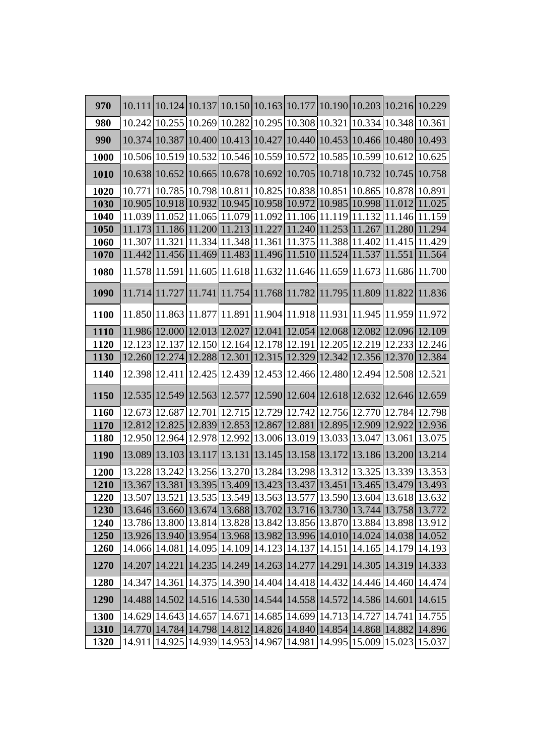| 970         |                 | 10.111   10.124   10.137   10.150   10.163   10.177   10.190   10.203   10.216   10.229                                                                                 |  |  |                      |        |
|-------------|-----------------|-------------------------------------------------------------------------------------------------------------------------------------------------------------------------|--|--|----------------------|--------|
| 980         |                 | 10.242 10.255 10.269 10.282 10.295 10.308 10.321 10.334 10.348 10.361                                                                                                   |  |  |                      |        |
| 990         | 10.374 10.387   | 10.400 10.413 10.427 10.440 10.453 10.466 10.480 10.493                                                                                                                 |  |  |                      |        |
| 1000        |                 | 10.506 10.519 10.532 10.546 10.559 10.572 10.585 10.599 10.612 10.625                                                                                                   |  |  |                      |        |
| 1010        |                 | 10.638 10.652 10.665 10.678 10.692 10.705 10.718 10.732 10.745 10.758                                                                                                   |  |  |                      |        |
| 1020        |                 | $10.771 10.785 10.798 10.811 10.825 10.838 10.851 10.865 10.878 10.891$                                                                                                 |  |  |                      |        |
| 1030        |                 | 10.905 10.918 10.932 10.945 10.958 10.972 10.985 10.998 11.012 11.025                                                                                                   |  |  |                      |        |
| 1040        |                 | $11.039 11.052 11.065 11.079 11.092 11.106 11.119 11.132 11.146 11.159$                                                                                                 |  |  |                      |        |
| 1050        |                 | 11.173 11.186 11.200 11.213 11.227 11.240 11.253 11.267 11.280 11.294                                                                                                   |  |  |                      |        |
| <b>1060</b> |                 | $11.307 11.321 11.334 11.348 11.361 11.375 11.388 11.402 11.415 11.429$                                                                                                 |  |  |                      |        |
| 1070        |                 | 11.442 11.456 11.469 11.483 11.496 11.510 11.524 11.537 11.551 11.564                                                                                                   |  |  |                      |        |
| 1080        |                 | 11.578 11.591 11.605 11.618 11.632 11.646 11.659 11.673 11.686 11.700                                                                                                   |  |  |                      |        |
| 1090        |                 | 11.714 11.727 11.741 11.754 11.768 11.782 11.795 11.809 11.822 11.836                                                                                                   |  |  |                      |        |
| 1100        |                 | 11.850 11.863 11.877 11.891 11.904 11.918 11.931 11.945 11.959 11.972                                                                                                   |  |  |                      |        |
| 1110        |                 | 11.986 12.000 12.013 12.027 12.041 12.054 12.068 12.082 12.096 12.109                                                                                                   |  |  |                      |        |
| 1120        |                 | 12.123   12.137   12.150   12.164   12.178   12.191   12.205   12.219   12.233   12.246                                                                                 |  |  |                      |        |
| 1130        |                 | 12.260 12.274 12.288 12.301 12.315 12.329 12.342 12.356 12.370 12.384                                                                                                   |  |  |                      |        |
| 1140        |                 | 12.398 12.411 12.425 12.439 12.453 12.466 12.480 12.494 12.508 12.521                                                                                                   |  |  |                      |        |
| 1150        |                 | 12.535   12.549   12.563   12.577   12.590   12.604   12.618   12.632   12.646   12.659                                                                                 |  |  |                      |        |
| 1160        |                 | 12.673 12.687 12.701 12.715 12.729 12.742 12.756 12.770 12.784 12.798                                                                                                   |  |  |                      |        |
| 1170        |                 | 12.812  12.825  12.839  12.853  12.867  12.881  12.895  12.909  12.922  12.936                                                                                          |  |  |                      |        |
| <b>1180</b> |                 | 12.950 12.964 12.978 12.992 13.006 13.019 13.033 13.047 13.061 13.075                                                                                                   |  |  |                      |        |
| 1190        |                 | 13.089 13.103 13.117 13.131 13.145 13.158 13.172 13.186 13.200 13.214                                                                                                   |  |  |                      |        |
| 1200        |                 | 13.228   13.242   13.256   13.270   13.284   13.298   13.312   13.325   13.339   13.353                                                                                 |  |  |                      |        |
| 1210        |                 | 13.367  13.381  13.395  13.409  13.423  13.437  13.451  13.465  13.479  13.493                                                                                          |  |  |                      |        |
| 1220        |                 | $\left[13.507\right]$ $\left[13.521\right]$ $13.535$ $\left[13.549\right]$ $13.563$ $\left[13.577\right]$ $13.590$ $\left[13.604\right]$ $13.618$ $\left[13.632\right]$ |  |  |                      |        |
| 1230        |                 | 13.646 13.660 13.674 13.688 13.702 13.716 13.730 13.744 13.758 13.772                                                                                                   |  |  |                      |        |
| 1240        |                 | 13.786 13.800 13.814 13.828 13.842 13.856 13.870 13.884 13.898 13.912                                                                                                   |  |  |                      |        |
| 1250        |                 | 13.926 13.940 13.954 13.968 13.982 13.996 14.010 14.024 14.038 14.052                                                                                                   |  |  |                      |        |
| <b>1260</b> | 14.066 14.081   | 14.095   14.109   14.123   14.137   14.151   14.165   14.179   14.193                                                                                                   |  |  |                      |        |
| 1270        | 14.207   14.221 | 14.235 14.249 14.263 14.277 14.291                                                                                                                                      |  |  | 14.305 14.319 14.333 |        |
| 1280        |                 | 14.347   14.361   14.375   14.390   14.404   14.418   14.432   14.446   14.460   14.474                                                                                 |  |  |                      |        |
| 1290        |                 | 14.488 14.502 14.516 14.530 14.544 14.558 14.572 14.586 14.601                                                                                                          |  |  |                      | 14.615 |
| 1300        |                 | 14.629 14.643 14.657 14.671 14.685 14.699 14.713 14.727 14.741 14.755                                                                                                   |  |  |                      |        |
| 1310        | 14.770 14.784   | 14.798 14.812 14.826 14.840 14.854 14.868 14.882                                                                                                                        |  |  |                      | 14.896 |
| 1320        |                 | 14.911   14.925   14.939   14.953   14.967   14.981   14.995   15.009   15.023   15.037                                                                                 |  |  |                      |        |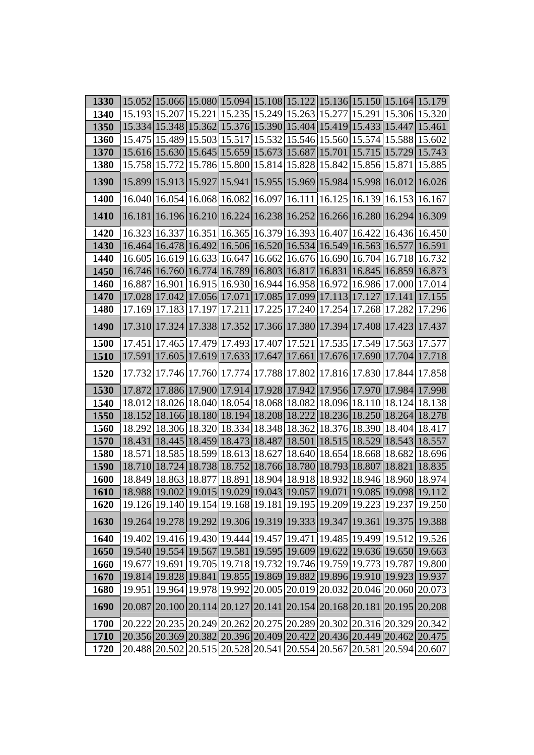| 1330        |        |                 |                                                                                         |  |  | 15.052 15.066 15.080 15.094 15.108 15.122 15.136 15.150 15.164 15.179                                                           |
|-------------|--------|-----------------|-----------------------------------------------------------------------------------------|--|--|---------------------------------------------------------------------------------------------------------------------------------|
| 1340        |        |                 | 15.193 15.207 15.221 15.235 15.249 15.263 15.277 15.291 15.306 15.320                   |  |  |                                                                                                                                 |
| 1350        |        |                 | 15.334 15.348 15.362 15.376 15.390 15.404 15.419 15.433 15.447 15.461                   |  |  |                                                                                                                                 |
| 1360        |        |                 | 15.475   15.489   15.503   15.517   15.532   15.546   15.560   15.574   15.588   15.602 |  |  |                                                                                                                                 |
| 1370        |        |                 | 15.616 15.630 15.645 15.659 15.673 15.687 15.701 15.715 15.729 15.743                   |  |  |                                                                                                                                 |
| 1380        |        | 15.758 15.772   | 15.786 15.800 15.814 15.828 15.842 15.856 15.871                                        |  |  | 15.885                                                                                                                          |
| 1390        |        |                 | 15.899 15.913 15.927 15.941 15.955 15.969 15.984 15.998 16.012                          |  |  | 16.026                                                                                                                          |
| 1400        |        |                 | 16.040 16.054 16.068 16.082 16.097 16.111 16.125 16.139 16.153 16.167                   |  |  |                                                                                                                                 |
| <b>1410</b> |        |                 | 16.181   16.196   16.210   16.224   16.238   16.252   16.266   16.280   16.294   16.309 |  |  |                                                                                                                                 |
| 1420        |        |                 | 16.323   16.337   16.351   16.365   16.379   16.393   16.407   16.422   16.436   16.450 |  |  |                                                                                                                                 |
| 1430        |        |                 | 16.464 16.478 16.492 16.506 16.520 16.534 16.549 16.563 16.577                          |  |  | 16.591                                                                                                                          |
| 1440        |        |                 | 16.605   16.619   16.633   16.647   16.662   16.676   16.690   16.704   16.718   16.732 |  |  |                                                                                                                                 |
| 1450        |        |                 | 16.746 16.760 16.774 16.789 16.803 16.817 16.831 16.845 16.859 16.873                   |  |  |                                                                                                                                 |
| <b>1460</b> |        |                 |                                                                                         |  |  | 16.887 16.901 16.915 16.930 16.944 16.958 16.972 16.986 17.000 17.014                                                           |
| 1470        |        |                 | 17.028 17.042 17.056 17.071 17.085 17.099 17.113 17.127 17.141 17.155                   |  |  |                                                                                                                                 |
| 1480        |        |                 | 17.169 17.183 17.197 17.211 17.225 17.240 17.254 17.268 17.282                          |  |  | 17.296                                                                                                                          |
| 1490        |        |                 | 17.310 17.324 17.338 17.352 17.366 17.380 17.394 17.408 17.423 17.437                   |  |  |                                                                                                                                 |
| <b>1500</b> |        |                 | 17.451   17.465   17.479   17.493   17.407   17.521   17.535   17.549   17.563   17.577 |  |  |                                                                                                                                 |
| 1510        |        |                 | 17.591 17.605 17.619 17.633 17.647 17.661 17.676 17.690 17.704 17.718                   |  |  |                                                                                                                                 |
| 1520        |        |                 | 17.732 17.746 17.760 17.774 17.788 17.802 17.816 17.830 17.844 17.858                   |  |  |                                                                                                                                 |
| 1530        |        |                 |                                                                                         |  |  | 17.872 17.886 17.900 17.914 17.928 17.942 17.956 17.970 17.984 17.998                                                           |
| 1540        |        |                 |                                                                                         |  |  | 18.012 18.026 18.040 18.054 18.068 18.082 18.096 18.110 18.124 18.138                                                           |
| 1550        |        |                 | 18.152 18.166 18.180 18.194 18.208 18.222 18.236 18.250 18.264 18.278                   |  |  |                                                                                                                                 |
| 1560        |        |                 | 18.292 18.306 18.320 18.334 18.348 18.362 18.376 18.390 18.404 18.417                   |  |  |                                                                                                                                 |
| 1570        |        |                 | 18.431   18.445   18.459   18.473   18.487   18.501   18.515   18.529   18.543   18.557 |  |  |                                                                                                                                 |
| 1580        |        |                 |                                                                                         |  |  | 18.571   18.585   18.599   18.613   18.627   18.640   18.654   18.668   18.682   18.696                                         |
| <b>1590</b> |        |                 | 18.710 18.724 18.738 18.752 18.766 18.780 18.793 18.807 18.821                          |  |  | 18.835                                                                                                                          |
| 1600        |        |                 | 18.849 18.863 18.877 18.891 18.904 18.918 18.932 18.946 18.960 18.974                   |  |  |                                                                                                                                 |
| <b>1610</b> |        |                 |                                                                                         |  |  | $\left[18.988\right 19.002\left 19.015\right 19.029\left 19.043\right 19.057\left 19.071\right 19.085\left 19.098\right 19.112$ |
| 1620        |        |                 |                                                                                         |  |  | 19.126 19.140 19.154 19.168 19.181 19.195 19.209 19.223 19.237 19.250                                                           |
| 1630        |        |                 | 19.264 19.278 19.292 19.306 19.319 19.333 19.347 19.361 19.375 19.388                   |  |  |                                                                                                                                 |
| 1640        |        |                 |                                                                                         |  |  | 19.402 19.416 19.430 19.444 19.457 19.471 19.485 19.499 19.512 19.526                                                           |
| 1650        |        |                 | 19.540 19.554 19.567 19.581 19.595 19.609 19.622 19.636 19.650                          |  |  | 19.663                                                                                                                          |
| 1660        |        | 19.677   19.691 | 19.705   19.718   19.732   19.746   19.759   19.773   19.787                            |  |  | 19.800                                                                                                                          |
| 1670        |        |                 | 19.814 19.828 19.841 19.855 19.869 19.882 19.896 19.910 19.923                          |  |  | 19.937                                                                                                                          |
| 1680        | 19.951 |                 | 19.964 19.978 19.992 20.005 20.019 20.032 20.046 20.060 20.073                          |  |  |                                                                                                                                 |
| 1690        | 20.087 |                 | 20.100 20.114 20.127 20.141 20.154 20.168 20.181 20.195                                 |  |  | 20.208                                                                                                                          |
| 1700        |        |                 |                                                                                         |  |  | 20.222 20.235 20.249 20.262 20.275 20.289 20.302 20.316 20.329 20.342                                                           |
| 1710        |        |                 | 20.356 20.369 20.382 20.396 20.409 20.422 20.436 20.449 20.462 20.475                   |  |  |                                                                                                                                 |
| 1720        |        |                 |                                                                                         |  |  | 20.488 20.502 20.515 20.528 20.541 20.554 20.567 20.581 20.594 20.607                                                           |